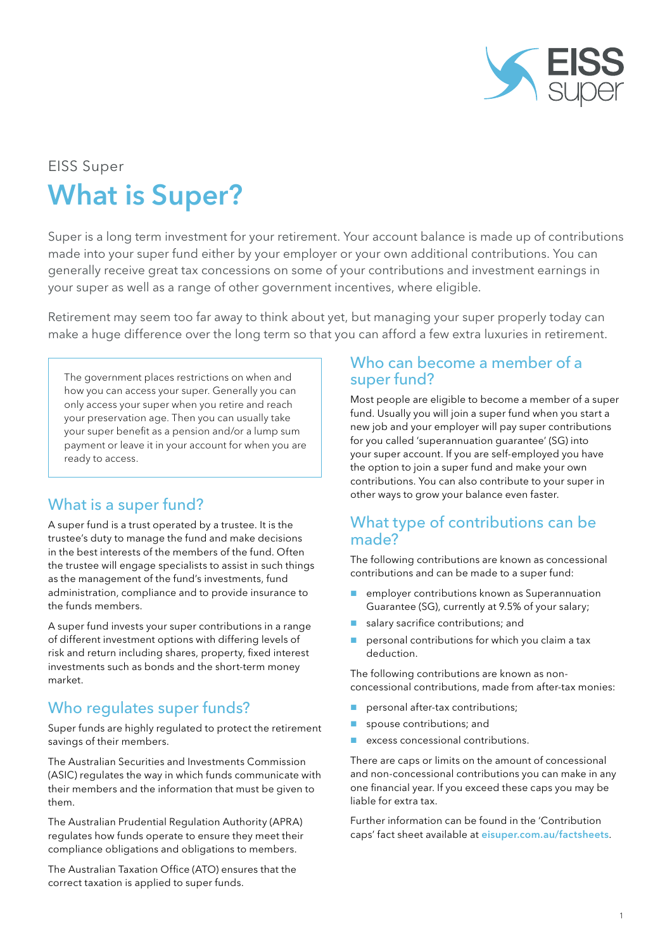

# EISS Super What is Super?

Super is a long term investment for your retirement. Your account balance is made up of contributions made into your super fund either by your employer or your own additional contributions. You can generally receive great tax concessions on some of your contributions and investment earnings in your super as well as a range of other government incentives, where eligible.

Retirement may seem too far away to think about yet, but managing your super properly today can make a huge difference over the long term so that you can afford a few extra luxuries in retirement.

The government places restrictions on when and how you can access your super. Generally you can only access your super when you retire and reach your preservation age. Then you can usually take your super benefit as a pension and/or a lump sum payment or leave it in your account for when you are ready to access.

## What is a super fund?

A super fund is a trust operated by a trustee. It is the trustee's duty to manage the fund and make decisions in the best interests of the members of the fund. Often the trustee will engage specialists to assist in such things as the management of the fund's investments, fund administration, compliance and to provide insurance to the funds members.

A super fund invests your super contributions in a range of different investment options with differing levels of risk and return including shares, property, fixed interest investments such as bonds and the short-term money market.

## Who regulates super funds?

Super funds are highly regulated to protect the retirement savings of their members.

The Australian Securities and Investments Commission (ASIC) regulates the way in which funds communicate with their members and the information that must be given to them.

The Australian Prudential Regulation Authority (APRA) regulates how funds operate to ensure they meet their compliance obligations and obligations to members.

The Australian Taxation Office (ATO) ensures that the correct taxation is applied to super funds.

#### Who can become a member of a super fund?

Most people are eligible to become a member of a super fund. Usually you will join a super fund when you start a new job and your employer will pay super contributions for you called 'superannuation guarantee' (SG) into your super account. If you are self-employed you have the option to join a super fund and make your own contributions. You can also contribute to your super in other ways to grow your balance even faster.

#### What type of contributions can be made?

The following contributions are known as concessional contributions and can be made to a super fund:

- **E** employer contributions known as Superannuation Guarantee (SG), currently at 9.5% of your salary;
- salary sacrifice contributions; and
- personal contributions for which you claim a tax deduction.

The following contributions are known as nonconcessional contributions, made from after-tax monies:

- personal after-tax contributions;
- spouse contributions; and
- excess concessional contributions.

There are caps or limits on the amount of concessional and non-concessional contributions you can make in any one financial year. If you exceed these caps you may be liable for extra tax.

Further information can be found in the 'Contribution caps' fact sheet available at [eisuper.com.au/factsheets](https://www.eisuper.com.au/factsheets).